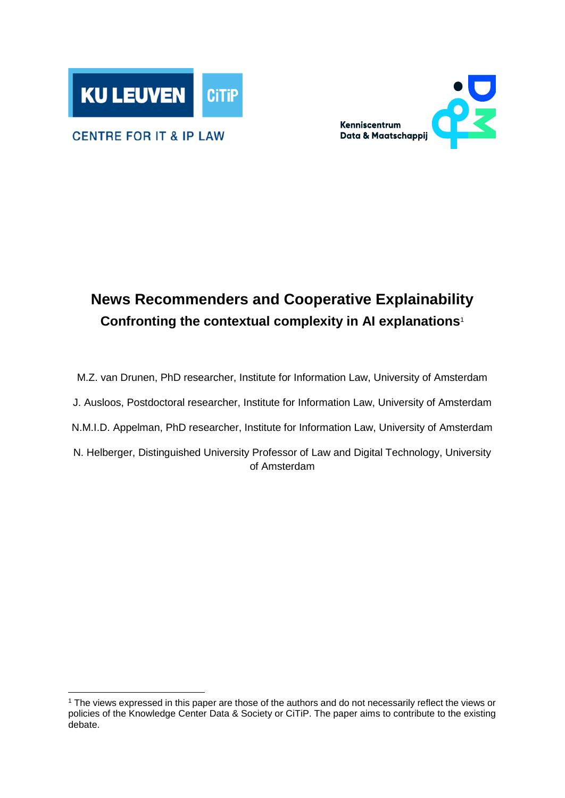



#### **CENTRE FOR IT & IP LAW**

-

## **News Recommenders and Cooperative Explainability Confronting the contextual complexity in AI explanations**<sup>1</sup>

M.Z. van Drunen, PhD researcher, Institute for Information Law, University of Amsterdam J. Ausloos, Postdoctoral researcher, Institute for Information Law, University of Amsterdam N.M.I.D. Appelman, PhD researcher, Institute for Information Law, University of Amsterdam N. Helberger, Distinguished University Professor of Law and Digital Technology, University of Amsterdam

<sup>1</sup> The views expressed in this paper are those of the authors and do not necessarily reflect the views or policies of the Knowledge Center Data & Society or CiTiP. The paper aims to contribute to the existing debate.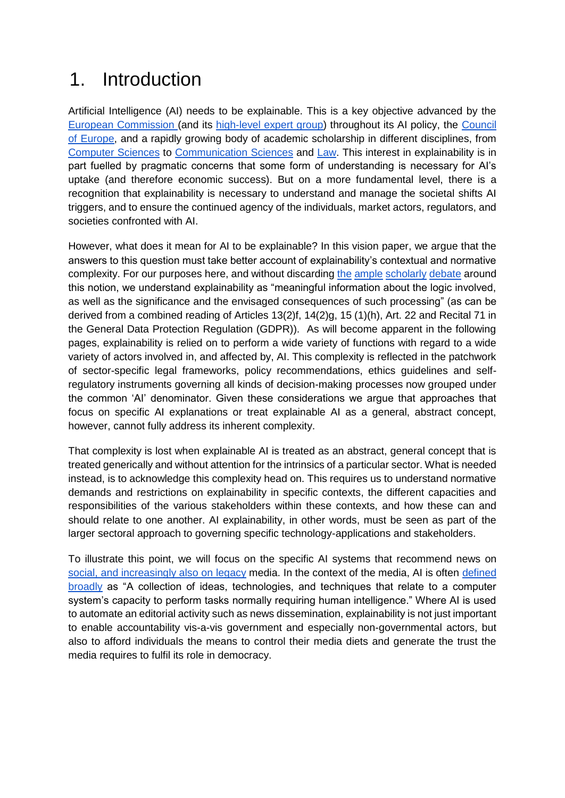## 1. Introduction

Artificial Intelligence (AI) needs to be explainable. This is a key objective advanced by the [European Commission \(](https://eur-lex.europa.eu/legal-content/GA/TXT/?uri=CELEX:52019DC0168)and its [high-level expert group\)](https://ec.europa.eu/futurium/en/ai-alliance-consultation/guidelines) throughout its AI policy, the [Council](https://rm.coe.int/guidelines-on-artificial-intelligence-and-data-protection/168091f9d8)  [of Europe,](https://rm.coe.int/guidelines-on-artificial-intelligence-and-data-protection/168091f9d8) and a rapidly growing body of academic scholarship in different disciplines, from [Computer Sciences](https://arxiv.org/abs/1902.01876) to [Communication Sciences](https://doi.org/10.1007/s11257-011-9117-5) and [Law.](https://academic.oup.com/ijlit/article/27/2/91/5288563) This interest in explainability is in part fuelled by pragmatic concerns that some form of understanding is necessary for AI's uptake (and therefore economic success). But on a more fundamental level, there is a recognition that explainability is necessary to understand and manage the societal shifts AI triggers, and to ensure the continued agency of the individuals, market actors, regulators, and societies confronted with AI.

However, what does it mean for AI to be explainable? In this vision paper, we argue that the answers to this question must take better account of explainability's contextual and normative complexity. For our purposes here, and without discarding [the](https://papers.ssrn.com/sol3/papers.cfm?abstract_id=3088976) [ample](http://link.springer.com/10.1007/978-3-319-64955-9) [scholarly](https://academic.oup.com/ijlit/article/27/2/91/5288563) [debate](https://scholarship.law.duke.edu/cgi/viewcontent.cgi?article=1315&context=dltr) around this notion, we understand explainability as "meaningful information about the logic involved, as well as the significance and the envisaged consequences of such processing" (as can be derived from a combined reading of Articles 13(2)f, 14(2)g, 15 (1)(h), Art. 22 and Recital 71 in the General Data Protection Regulation (GDPR)). As will become apparent in the following pages, explainability is relied on to perform a wide variety of functions with regard to a wide variety of actors involved in, and affected by, AI. This complexity is reflected in the patchwork of sector-specific legal frameworks, policy recommendations, ethics guidelines and selfregulatory instruments governing all kinds of decision-making processes now grouped under the common 'AI' denominator. Given these considerations we argue that approaches that focus on specific AI explanations or treat explainable AI as a general, abstract concept, however, cannot fully address its inherent complexity.

That complexity is lost when explainable AI is treated as an abstract, general concept that is treated generically and without attention for the intrinsics of a particular sector. What is needed instead, is to acknowledge this complexity head on. This requires us to understand normative demands and restrictions on explainability in specific contexts, the different capacities and responsibilities of the various stakeholders within these contexts, and how these can and should relate to one another. AI explainability, in other words, must be seen as part of the larger sectoral approach to governing specific technology-applications and stakeholders.

To illustrate this point, we will focus on the specific AI systems that recommend news on [social, and increasingly also on legacy](https://reutersinstitute.politics.ox.ac.uk/sites/default/files/2020-01/Newman_Journalism_and_Media_Predictions_2020_Final.pdf) media. In the context of the media, AI is often defined [broadly](https://reutersinstitute.politics.ox.ac.uk/sites/default/files/2018-12/Brennen_UK_Media_Coverage_of_AI_FINAL.pdf) as "A collection of ideas, technologies, and techniques that relate to a computer system's capacity to perform tasks normally requiring human intelligence." Where AI is used to automate an editorial activity such as news dissemination, explainability is not just important to enable accountability vis-a-vis government and especially non-governmental actors, but also to afford individuals the means to control their media diets and generate the trust the media requires to fulfil its role in democracy.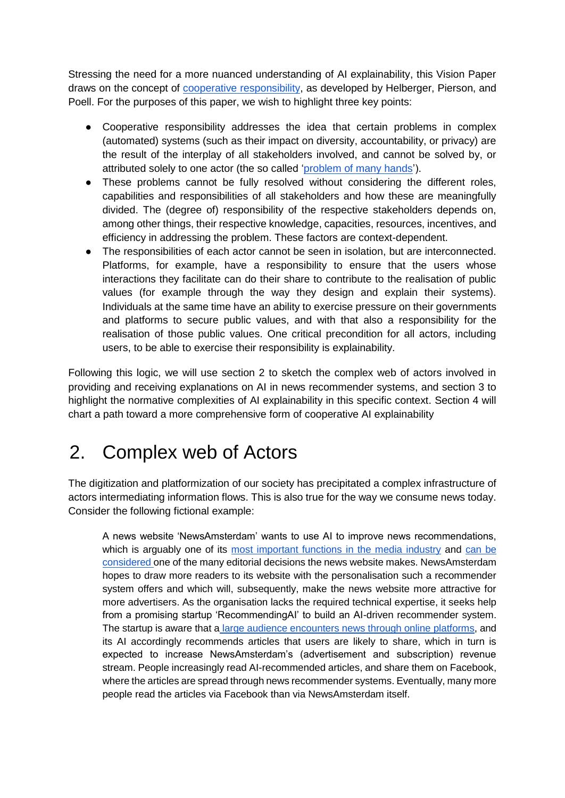Stressing the need for a more nuanced understanding of AI explainability, this Vision Paper draws on the concept of [cooperative responsibility,](https://pure.uva.nl/ws/files/20849866/Helberger_Pierson_Poell_Governing_online_platforms_From_contested_to_cooperative_responsibility_2018_.pdf) as developed by Helberger, Pierson, and Poell. For the purposes of this paper, we wish to highlight three key points:

- Cooperative responsibility addresses the idea that certain problems in complex (automated) systems (such as their impact on diversity, accountability, or privacy) are the result of the interplay of all stakeholders involved, and cannot be solved by, or attributed solely to one actor (the so called ['problem of many hands'](https://www.cambridge.org/core/journals/american-political-science-review/article/moral-responsibility-of-public-officials-the-problem-of-many-hands/39DD3FAB7BF7DC7A242407143674F22B)).
- These problems cannot be fully resolved without considering the different roles, capabilities and responsibilities of all stakeholders and how these are meaningfully divided. The (degree of) responsibility of the respective stakeholders depends on, among other things, their respective knowledge, capacities, resources, incentives, and efficiency in addressing the problem. These factors are context-dependent.
- The responsibilities of each actor cannot be seen in isolation, but are interconnected. Platforms, for example, have a responsibility to ensure that the users whose interactions they facilitate can do their share to contribute to the realisation of public values (for example through the way they design and explain their systems). Individuals at the same time have an ability to exercise pressure on their governments and platforms to secure public values, and with that also a responsibility for the realisation of those public values. One critical precondition for all actors, including users, to be able to exercise their responsibility is explainability.

Following this logic, we will use section 2 to sketch the complex web of actors involved in providing and receiving explanations on AI in news recommender systems, and section 3 to highlight the normative complexities of AI explainability in this specific context. Section 4 will chart a path toward a more comprehensive form of cooperative AI explainability

# 2. Complex web of Actors

The digitization and platformization of our society has precipitated a complex infrastructure of actors intermediating information flows. This is also true for the way we consume news today. Consider the following fictional example:

A news website 'NewsAmsterdam' wants to use AI to improve news recommendations, which is arguably one of its [most important functions in the media industry](https://reutersinstitute.politics.ox.ac.uk/sites/default/files/2020-01/Newman_Journalism_and_Media_Predictions_2020_Final.pdf) and can be [considered o](https://rm.coe.int/cyprus-2020-ai-and-freedom-of-expression/168097fa82)ne of the many editorial decisions the news website makes. NewsAmsterdam hopes to draw more readers to its website with the personalisation such a recommender system offers and which will, subsequently, make the news website more attractive for more advertisers. As the organisation lacks the required technical expertise, it seeks help from a promising startup 'RecommendingAI' to build an AI-driven recommender system. The startup is aware that a [large audience encounters news through online](https://journals.sagepub.com/doi/abs/10.1177/1461444820926472) platforms, and its AI accordingly recommends articles that users are likely to share, which in turn is expected to increase NewsAmsterdam's (advertisement and subscription) revenue stream. People increasingly read AI-recommended articles, and share them on Facebook, where the articles are spread through news recommender systems. Eventually, many more people read the articles via Facebook than via NewsAmsterdam itself.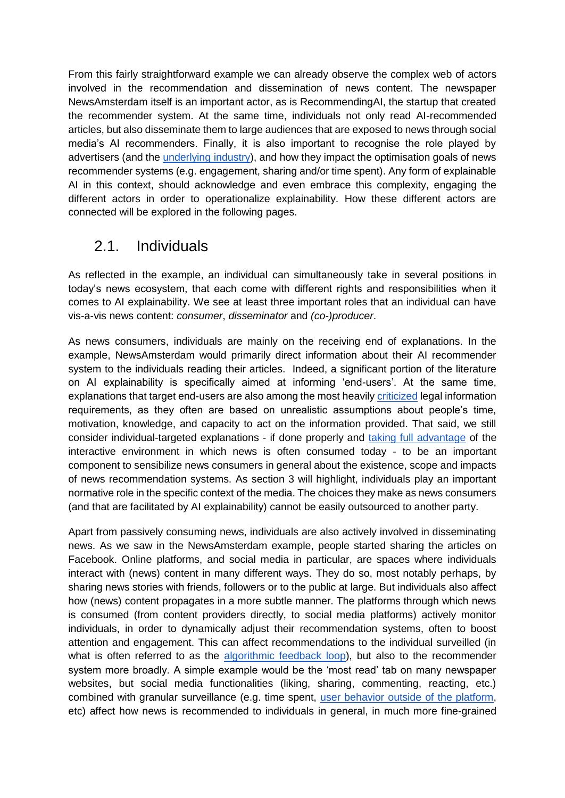From this fairly straightforward example we can already observe the complex web of actors involved in the recommendation and dissemination of news content. The newspaper NewsAmsterdam itself is an important actor, as is RecommendingAI, the startup that created the recommender system. At the same time, individuals not only read AI-recommended articles, but also disseminate them to large audiences that are exposed to news through social media's AI recommenders. Finally, it is also important to recognise the role played by advertisers (and the [underlying industry\)](https://ico.org.uk/media/about-the-ico/documents/2615156/adtech-real-time-bidding-report-201906.pdf), and how they impact the optimisation goals of news recommender systems (e.g. engagement, sharing and/or time spent). Any form of explainable AI in this context, should acknowledge and even embrace this complexity, engaging the different actors in order to operationalize explainability. How these different actors are connected will be explored in the following pages.

#### 2.1. Individuals

As reflected in the example, an individual can simultaneously take in several positions in today's news ecosystem, that each come with different rights and responsibilities when it comes to AI explainability. We see at least three important roles that an individual can have vis-a-vis news content: *consumer*, *disseminator* and *(co-)producer*.

As news consumers, individuals are mainly on the receiving end of explanations. In the example, NewsAmsterdam would primarily direct information about their AI recommender system to the individuals reading their articles. Indeed, a significant portion of the literature on AI explainability is specifically aimed at informing 'end-users'. At the same time, explanations that target end-users are also among the most heavily [criticized](https://doi.org/10.1177/1461444816676645) legal information requirements, as they often are based on unrealistic assumptions about people's time, motivation, knowledge, and capacity to act on the information provided. That said, we still consider individual-targeted explanations - if done properly and [taking full advantage](http://rsta.royalsocietypublishing.org/lookup/doi/10.1098/rsta.2018.0088) of the interactive environment in which news is often consumed today - to be an important component to sensibilize news consumers in general about the existence, scope and impacts of news recommendation systems. As section 3 will highlight, individuals play an important normative role in the specific context of the media. The choices they make as news consumers (and that are facilitated by AI explainability) cannot be easily outsourced to another party.

Apart from passively consuming news, individuals are also actively involved in disseminating news. As we saw in the NewsAmsterdam example, people started sharing the articles on Facebook. Online platforms, and social media in particular, are spaces where individuals interact with (news) content in many different ways. They do so, most notably perhaps, by sharing news stories with friends, followers or to the public at large. But individuals also affect how (news) content propagates in a more subtle manner. The platforms through which news is consumed (from content providers directly, to social media platforms) actively monitor individuals, in order to dynamically adjust their recommendation systems, often to boost attention and engagement. This can affect recommendations to the individual surveilled (in what is often referred to as the [algorithmic feedback loop\)](https://www.tandfonline.com/doi/full/10.1080/21670811.2018.1521292), but also to the recommender system more broadly. A simple example would be the 'most read' tab on many newspaper websites, but social media functionalities (liking, sharing, commenting, reacting, etc.) combined with granular surveillance (e.g. time spent, [user behavior outside of the platform,](http://www.law.kuleuven.be/icri/en/news/item/icri-cir-advises-belgian-privacy-commission-in-facebook-investigation) etc) affect how news is recommended to individuals in general, in much more fine-grained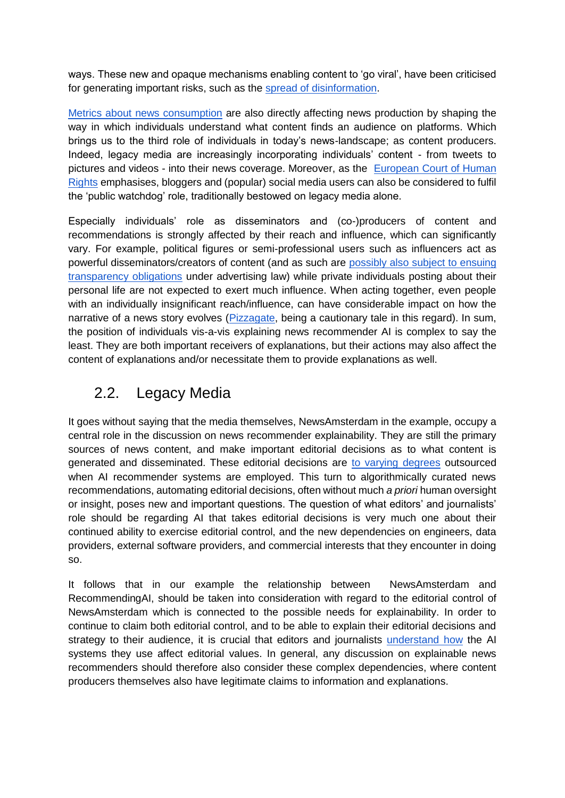ways. These new and opaque mechanisms enabling content to 'go viral', have been criticised for generating important risks, such as the [spread of disinformation.](https://www.ivir.nl/dissemination-of-disinformation/)

[Metrics about news consumption](https://doi.org/10.1177/1461444819881735) are also directly affecting news production by shaping the way in which individuals understand what content finds an audience on platforms. Which brings us to the third role of individuals in today's news-landscape; as content producers. Indeed, legacy media are increasingly incorporating individuals' content - from tweets to pictures and videos - into their news coverage. Moreover, as the [European Court of Human](http://hudoc.echr.coe.int/eng?i=002-11282)  [Rights](http://hudoc.echr.coe.int/eng?i=002-11282) emphasises, bloggers and (popular) social media users can also be considered to fulfil the 'public watchdog' role, traditionally bestowed on legacy media alone.

Especially individuals' role as disseminators and (co-)producers of content and recommendations is strongly affected by their reach and influence, which can significantly vary. For example, political figures or semi-professional users such as influencers act as powerful disseminators/creators of content (and as such are [possibly also subject to ensuing](https://limo.libis.be/primo-explore/fulldisplay?docid=LIRIAS2339326&context=L&vid=Lirias&search_scope=Lirias&tab=default_tab&lang=en_US)  [transparency obligations](https://limo.libis.be/primo-explore/fulldisplay?docid=LIRIAS2339326&context=L&vid=Lirias&search_scope=Lirias&tab=default_tab&lang=en_US) under advertising law) while private individuals posting about their personal life are not expected to exert much influence. When acting together, even people with an individually insignificant reach/influence, can have considerable impact on how the narrative of a news story evolves [\(Pizzagate,](https://en.wikipedia.org/wiki/Pizzagate_conspiracy_theory) being a cautionary tale in this regard). In sum, the position of individuals vis-a-vis explaining news recommender AI is complex to say the least. They are both important receivers of explanations, but their actions may also affect the content of explanations and/or necessitate them to provide explanations as well.

### 2.2. Legacy Media

It goes without saying that the media themselves, NewsAmsterdam in the example, occupy a central role in the discussion on news recommender explainability. They are still the primary sources of news content, and make important editorial decisions as to what content is generated and disseminated. These editorial decisions are [to varying degrees](https://drive.google.com/file/d/1utmAMCmd4rfJHrUfLLfSJ-clpFTjyef1/view) outsourced when AI recommender systems are employed. This turn to algorithmically curated news recommendations, automating editorial decisions, often without much *a priori* human oversight or insight, poses new and important questions. The question of what editors' and journalists' role should be regarding AI that takes editorial decisions is very much one about their continued ability to exercise editorial control, and the new dependencies on engineers, data providers, external software providers, and commercial interests that they encounter in doing so.

It follows that in our example the relationship between NewsAmsterdam and RecommendingAI, should be taken into consideration with regard to the editorial control of NewsAmsterdam which is connected to the possible needs for explainability. In order to continue to claim both editorial control, and to be able to explain their editorial decisions and strategy to their audience, it is crucial that editors and journalists [understand](https://books.google.nl/books/about/Automating_the_News.html?id=mlWQDwAAQBAJ) [how](https://books.google.nl/books/about/Automating_the_News.html?id=mlWQDwAAQBAJ) the AI systems they use affect editorial values. In general, any discussion on explainable news recommenders should therefore also consider these complex dependencies, where content producers themselves also have legitimate claims to information and explanations.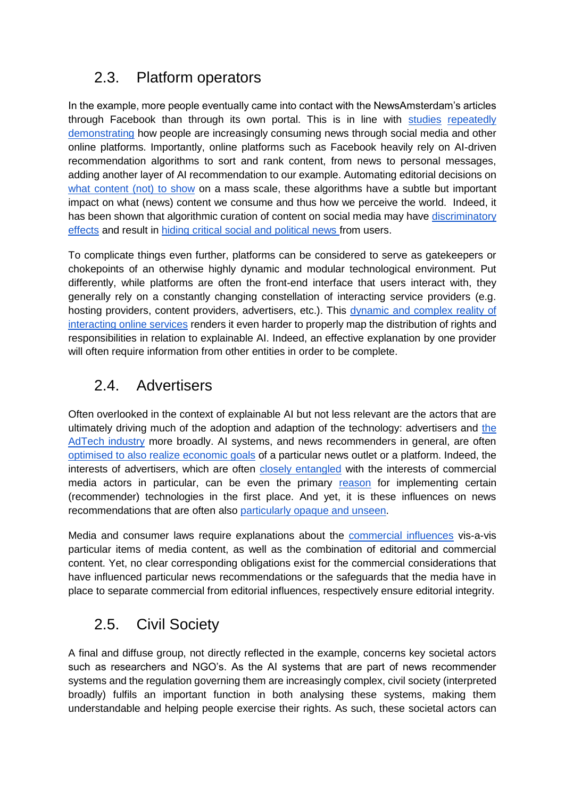## 2.3. Platform operators

In the example, more people eventually came into contact with the NewsAmsterdam's articles through Facebook than through its own portal. This is in line with [studies](https://reutersinstitute.politics.ox.ac.uk/sites/default/files/2020-06/DNR_2020_FINAL.pdf) [repeatedly](https://www.imec.be/nl/expertises/imec-digimeter/digimeter-2019) [demonstrating](https://ec.europa.eu/commfrontoffice/publicopinion/index.cfm/ResultDoc/download/DocumentKy/90320) how people are increasingly consuming news through social media and other online platforms. Importantly, online platforms such as Facebook heavily rely on AI-driven recommendation algorithms to sort and rank content, from news to personal messages, adding another layer of AI recommendation to our example. Automating editorial decisions on [what content \(not\) to show](http://webfoundation.org/docs/2018/04/WF_InvisibleCurationContent_Screen_AW.pdf) on a mass scale, these algorithms have a subtle but important impact on what (news) content we consume and thus how we perceive the world. Indeed, it has been shown that algorithmic curation of content on social media may have [discriminatory](https://netzpolitik.org/2019/discrimination-tiktok-curbed-reach-for-people-with-disabilities/)  [effects](https://netzpolitik.org/2019/discrimination-tiktok-curbed-reach-for-people-with-disabilities/) and result in [hiding critical social and political news f](https://www.theguardian.com/technology/2019/sep/25/revealed-how-tiktok-censors-videos-that-do-not-please-beijing)rom users.

To complicate things even further, platforms can be considered to serve as gatekeepers or chokepoints of an otherwise highly dynamic and modular technological environment. Put differently, while platforms are often the front-end interface that users interact with, they generally rely on a constantly changing constellation of interacting service providers (e.g. hosting providers, content providers, advertisers, etc.). This [dynamic and complex reality of](https://osf.io/preprints/socarxiv/9gy73/)  [interacting online services](https://osf.io/preprints/socarxiv/9gy73/) renders it even harder to properly map the distribution of rights and responsibilities in relation to explainable AI. Indeed, an effective explanation by one provider will often require information from other entities in order to be complete.

#### 2.4. Advertisers

Often overlooked in the context of explainable AI but not less relevant are the actors that are ultimately driving much of the adoption and adaption of the technology: advertisers and [the](https://ico.org.uk/media/about-the-ico/documents/2615156/adtech-real-time-bidding-report-201906.pdf)  [AdTech industry](https://ico.org.uk/media/about-the-ico/documents/2615156/adtech-real-time-bidding-report-201906.pdf) more broadly. AI systems, and news recommenders in general, are often [optimised to also realize economic goals](https://www.tandfonline.com/doi/full/10.1080/21670811.2019.1624185) of a particular news outlet or a platform. Indeed, the interests of advertisers, which are often [closely entangled](https://www.publicaffairsbooks.com/titles/shoshana-zuboff/the-age-of-surveillance-capitalism/9781610395694/) with the interests of commercial media actors in particular, can be even the primary [reason](https://www.jstor.org/stable/25046064?seq=1#metadata_info_tab_contents) for implementing certain (recommender) technologies in the first place. And yet, it is these influences on news recommendations that are often also [particularly opaque and unseen.](https://assets.mofoprod.net/network/documents/Ad_Break_for_Europe_FINAL_online.pdf)

Media and consumer laws require explanations about the [commercial influences](https://lirias.kuleuven.be/retrieve/523565) vis-a-vis particular items of media content, as well as the combination of editorial and commercial content. Yet, no clear corresponding obligations exist for the commercial considerations that have influenced particular news recommendations or the safeguards that the media have in place to separate commercial from editorial influences, respectively ensure editorial integrity.

## 2.5. Civil Society

A final and diffuse group, not directly reflected in the example, concerns key societal actors such as researchers and NGO's. As the AI systems that are part of news recommender systems and the regulation governing them are increasingly complex, civil society (interpreted broadly) fulfils an important function in both analysing these systems, making them understandable and helping people exercise their rights. As such, these societal actors can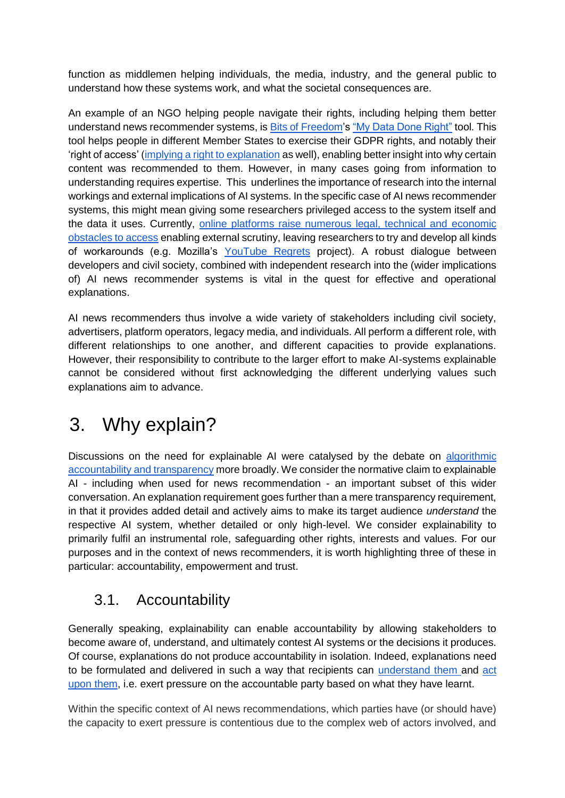function as middlemen helping individuals, the media, industry, and the general public to understand how these systems work, and what the societal consequences are.

An example of an NGO helping people navigate their rights, including helping them better understand news recommender systems, i[s Bits of Freedom'](http://bof.nl/)s ["My Data Done Right"](https://www.mydatadoneright.eu/) tool. This tool helps people in different Member States to exercise their GDPR rights, and notably their 'right of access' [\(implying a right to explanation](https://academic.oup.com/idpl/article/7/4/233/4762325) as well), enabling better insight into why certain content was recommended to them. However, in many cases going from information to understanding requires expertise. This underlines the importance of research into the internal workings and external implications of AI systems. In the specific case of AI news recommender systems, this might mean giving some researchers privileged access to the system itself and the data it uses. Currently, [online platforms raise numerous legal, technical and economic](https://ssrn.com/abstract=3465680)  [obstacles to access](https://ssrn.com/abstract=3465680) enabling external scrutiny, leaving researchers to try and develop all kinds of workarounds (e.g. Mozilla's [YouTube Regrets](https://foundation.mozilla.org/en/campaigns/regrets-reporter/) project). A robust dialogue between developers and civil society, combined with independent research into the (wider implications of) AI news recommender systems is vital in the quest for effective and operational explanations.

AI news recommenders thus involve a wide variety of stakeholders including civil society, advertisers, platform operators, legacy media, and individuals. All perform a different role, with different relationships to one another, and different capacities to provide explanations. However, their responsibility to contribute to the larger effort to make AI-systems explainable cannot be considered without first acknowledging the different underlying values such explanations aim to advance.

## 3. Why explain?

Discussions on the need for explainable AI were catalysed by the debate on [algorithmic](https://www.algoaware.eu/wp-content/uploads/2018/08/AlgoAware-State-of-the-Art-Report.pdf)  [accountability and transparency](https://www.algoaware.eu/wp-content/uploads/2018/08/AlgoAware-State-of-the-Art-Report.pdf) more broadly. We consider the normative claim to explainable AI - including when used for news recommendation - an important subset of this wider conversation. An explanation requirement goes further than a mere transparency requirement, in that it provides added detail and actively aims to make its target audience *understand* the respective AI system, whether detailed or only high-level. We consider explainability to primarily fulfil an instrumental role, safeguarding other rights, interests and values. For our purposes and in the context of news recommenders, it is worth highlighting three of these in particular: accountability, empowerment and trust.

### 3.1. Accountability

Generally speaking, explainability can enable accountability by allowing stakeholders to become aware of, understand, and ultimately contest AI systems or the decisions it produces. Of course, explanations do not produce accountability in isolation. Indeed, explanations need to be formulated and delivered in such a way that recipients can [understand them a](https://pure.uva.nl/ws/files/44632595/Transparent_to_whom_No_algorithmic_accountability_without_a_critical_audience.pdf)nd [act](https://doi.org/10.1177/1461444816676645)  [upon them,](https://doi.org/10.1177/1461444816676645) i.e. exert pressure on the accountable party based on what they have learnt.

Within the specific context of AI news recommendations, which parties have (or should have) the capacity to exert pressure is contentious due to the complex web of actors involved, and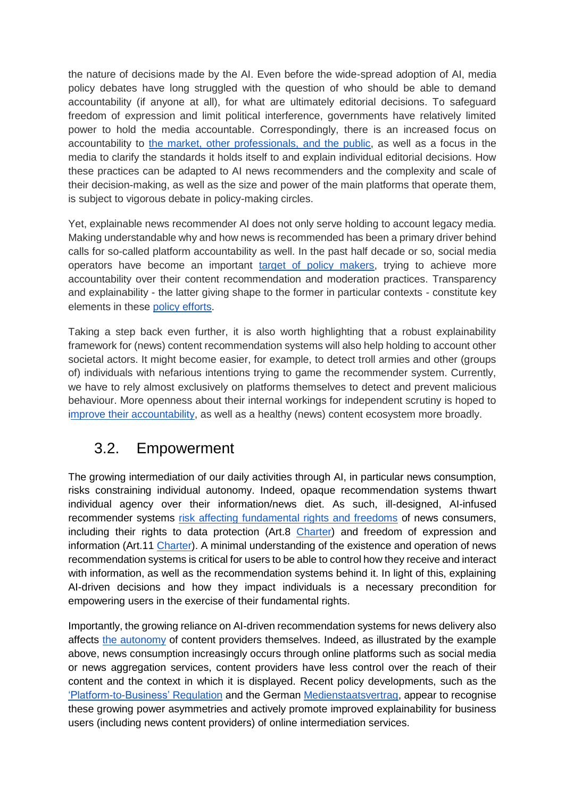the nature of decisions made by the AI. Even before the wide-spread adoption of AI, media policy debates have long struggled with the question of who should be able to demand accountability (if anyone at all), for what are ultimately editorial decisions. To safeguard freedom of expression and limit political interference, governments have relatively limited power to hold the media accountable. Correspondingly, there is an increased focus on accountability to [the market, other professionals, and the public,](https://www.routledge.com/The-European-Handbook-of-Media-Accountability/Eberwein-Fengler-Karmasin/p/book/9781472457660) as well as a focus in the media to clarify the standards it holds itself to and explain individual editorial decisions. How these practices can be adapted to AI news recommenders and the complexity and scale of their decision-making, as well as the size and power of the main platforms that operate them, is subject to vigorous debate in policy-making circles.

Yet, explainable news recommender AI does not only serve holding to account legacy media. Making understandable why and how news is recommended has been a primary driver behind calls for so-called platform accountability as well. In the past half decade or so, social media operators have become an important [target of policy makers,](https://ec.europa.eu/digital-single-market/en/digital-services-act-package) trying to achieve more accountability over their content recommendation and moderation practices. Transparency and explainability - the latter giving shape to the former in particular contexts - constitute key elements in these [policy efforts.](https://www.coe.int/en/web/freedom-expression/committee-of-ministers-adopted-texts/-/asset_publisher/aDXmrol0vvsU/content/recommendation-cm-rec-2018-2-of-the-committee-of-ministers-to-member-states-on-the-roles-and-responsibilities-of-internet-intermediaries?inheritRedirect=false)

Taking a step back even further, it is also worth highlighting that a robust explainability framework for (news) content recommendation systems will also help holding to account other societal actors. It might become easier, for example, to detect troll armies and other (groups of) individuals with nefarious intentions trying to game the recommender system. Currently, we have to rely almost exclusively on platforms themselves to detect and prevent malicious behaviour. More openness about their internal workings for independent scrutiny is hoped to [improve their accountability,](https://ec.europa.eu/digital-single-market/en/news/assessment-code-practice-disinformation-achievements-and-areas-further-improvement) as well as a healthy (news) content ecosystem more broadly.

### 3.2. Empowerment

The growing intermediation of our daily activities through AI, in particular news consumption, risks constraining individual autonomy. Indeed, opaque recommendation systems thwart individual agency over their information/news diet. As such, ill-designed, AI-infused recommender systems [risk affecting fundamental rights and](https://rm.coe.int/cyprus-2020-ai-and-freedom-of-expression/168097fa82) freedoms of news consumers, including their rights to data protection (Art.8 [Charter\)](https://eur-lex.europa.eu/legal-content/EN/TXT/?uri=celex:12012P/TXT) and freedom of expression and information (Art.11 [Charter\)](https://eur-lex.europa.eu/legal-content/EN/TXT/?uri=celex:12012P/TXT). A minimal understanding of the existence and operation of news recommendation systems is critical for users to be able to control how they receive and interact with information, as well as the recommendation systems behind it. In light of this, explaining AI-driven decisions and how they impact individuals is a necessary precondition for empowering users in the exercise of their fundamental rights.

Importantly, the growing reliance on AI-driven recommendation systems for news delivery also affects [the autonomy](https://search.coe.int/cm/pages/result_details.aspx?ObjectId=090000168092dd4b) of content providers themselves. Indeed, as illustrated by the example above, news consumption increasingly occurs through online platforms such as social media or news aggregation services, content providers have less control over the reach of their content and the context in which it is displayed. Recent policy developments, such as the ['Platform-to-Business' Regulation](https://eur-lex.europa.eu/legal-content/EN/TXT/?uri=CELEX:32019R1150) and the German [Medienstaatsvertrag,](https://blogs.lse.ac.uk/medialse/2019/05/29/germany-proposes-europes-first-diversity-rules-for-social-media-platforms/) appear to recognise these growing power asymmetries and actively promote improved explainability for business users (including news content providers) of online intermediation services.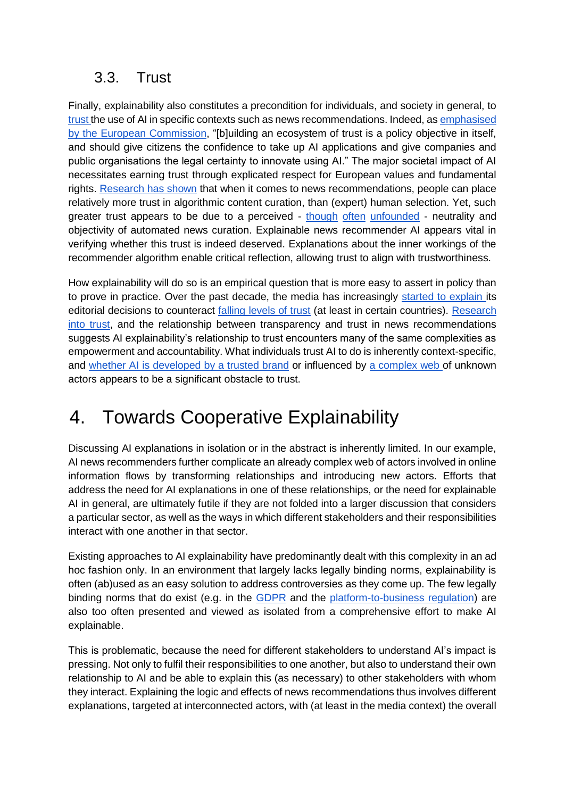### 3.3. Trust

Finally, explainability also constitutes a precondition for individuals, and society in general, to [trust t](https://eur-lex.europa.eu/legal-content/GA/TXT/?uri=CELEX:52019DC0168)he use of AI in specific contexts such as news recommendations. Indeed, as [emphasised](https://ec.europa.eu/info/publications/white-paper-artificial-intelligence-european-approach-excellence-and-trust_en)  [by the European Commission,](https://ec.europa.eu/info/publications/white-paper-artificial-intelligence-european-approach-excellence-and-trust_en) "[b]uilding an ecosystem of trust is a policy objective in itself, and should give citizens the confidence to take up AI applications and give companies and public organisations the legal certainty to innovate using AI." The major societal impact of AI necessitates earning trust through explicated respect for European values and fundamental rights. [Research has shown](https://www.tandfonline.com/doi/full/10.1080/21670811.2018.1493936) that when it comes to news recommendations, people can place relatively more trust in algorithmic content curation, than (expert) human selection. Yet, such greater trust appears to be due to a perceived - [though](https://www.wired.com/story/the-toxic-potential-of-youtubes-feedback-loop/) [often](https://mindmatters.ai/2019/07/can-computer-algorithms-be-free-of-bias/) [unfounded](https://www.youtube.com/watch?v=FI8tFmBIPak) - neutrality and objectivity of automated news curation. Explainable news recommender AI appears vital in verifying whether this trust is indeed deserved. Explanations about the inner workings of the recommender algorithm enable critical reflection, allowing trust to align with trustworthiness.

How explainability will do so is an empirical question that is more easy to assert in policy than to prove in practice. Over the past decade, the media has increasingly [started to explain i](https://journals.sagepub.com/doi/10.1177/1464884920934236)ts editorial decisions to counteract [falling levels of trust](https://journals.sagepub.com/doi/full/10.1177/1940161217740695) (at least in certain countries). [Research](https://www.springer.com/gp/book/9783319280578) [into trust,](https://www.springer.com/gp/book/9783319280578) and the relationship between transparency and trust in news recommendations suggests AI explainability's relationship to trust encounters many of the same complexities as empowerment and accountability. What individuals trust AI to do is inherently context-specific, and [whether AI is developed by a trusted brand](https://www.tandfonline.com/doi/full/10.1080/21670811.2020.1773291) or influenced by [a complex web o](https://www.tandfonline.com/doi/full/10.1080/1369118X.2020.1748090)f unknown actors appears to be a significant obstacle to trust.

# 4. Towards Cooperative Explainability

Discussing AI explanations in isolation or in the abstract is inherently limited. In our example, AI news recommenders further complicate an already complex web of actors involved in online information flows by transforming relationships and introducing new actors. Efforts that address the need for AI explanations in one of these relationships, or the need for explainable AI in general, are ultimately futile if they are not folded into a larger discussion that considers a particular sector, as well as the ways in which different stakeholders and their responsibilities interact with one another in that sector.

Existing approaches to AI explainability have predominantly dealt with this complexity in an ad hoc fashion only. In an environment that largely lacks legally binding norms, explainability is often (ab)used as an easy solution to address controversies as they come up. The few legally binding norms that do exist (e.g. in the [GDPR](https://eur-lex.europa.eu/legal-content/AUTO/?uri=CELEX:32016R0679&qid=1601891811804&rid=1) and the [platform-to-business regulation\)](https://ec.europa.eu/digital-single-market/en/business-business-trading-practices) are also too often presented and viewed as isolated from a comprehensive effort to make AI explainable.

This is problematic, because the need for different stakeholders to understand AI's impact is pressing. Not only to fulfil their responsibilities to one another, but also to understand their own relationship to AI and be able to explain this (as necessary) to other stakeholders with whom they interact. Explaining the logic and effects of news recommendations thus involves different explanations, targeted at interconnected actors, with (at least in the media context) the overall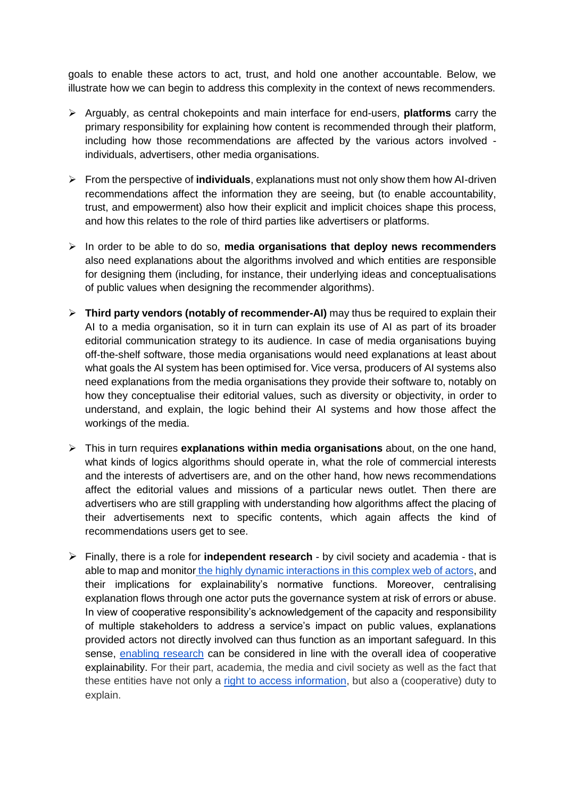goals to enable these actors to act, trust, and hold one another accountable. Below, we illustrate how we can begin to address this complexity in the context of news recommenders.

- ➢ Arguably, as central chokepoints and main interface for end-users, **platforms** carry the primary responsibility for explaining how content is recommended through their platform, including how those recommendations are affected by the various actors involved individuals, advertisers, other media organisations.
- ➢ From the perspective of **individuals**, explanations must not only show them how AI-driven recommendations affect the information they are seeing, but (to enable accountability, trust, and empowerment) also how their explicit and implicit choices shape this process, and how this relates to the role of third parties like advertisers or platforms.
- ➢ In order to be able to do so, **media organisations that deploy news recommenders** also need explanations about the algorithms involved and which entities are responsible for designing them (including, for instance, their underlying ideas and conceptualisations of public values when designing the recommender algorithms).
- ➢ **Third party vendors (notably of recommender-AI)** may thus be required to explain their AI to a media organisation, so it in turn can explain its use of AI as part of its broader editorial communication strategy to its audience. In case of media organisations buying off-the-shelf software, those media organisations would need explanations at least about what goals the AI system has been optimised for. Vice versa, producers of AI systems also need explanations from the media organisations they provide their software to, notably on how they conceptualise their editorial values, such as diversity or objectivity, in order to understand, and explain, the logic behind their AI systems and how those affect the workings of the media.
- ➢ This in turn requires **explanations within media organisations** about, on the one hand, what kinds of logics algorithms should operate in, what the role of commercial interests and the interests of advertisers are, and on the other hand, how news recommendations affect the editorial values and missions of a particular news outlet. Then there are advertisers who are still grappling with understanding how algorithms affect the placing of their advertisements next to specific contents, which again affects the kind of recommendations users get to see.
- ➢ Finally, there is a role for **independent research**  by civil society and academia that is able to map and monitor [the highly dynamic interactions in this complex web of actors,](https://www.tandfonline.com/doi/full/10.1080/23738871.2020.1745860) and their implications for explainability's normative functions. Moreover, centralising explanation flows through one actor puts the governance system at risk of errors or abuse. In view of cooperative responsibility's acknowledgement of the capacity and responsibility of multiple stakeholders to address a service's impact on public values, explanations provided actors not directly involved can thus function as an important safeguard. In this sense, [enabling research](https://search.coe.int/cm/pages/result_details.aspx?ObjectId=09000016809e1154) can be considered in line with the overall idea of cooperative explainability. For their part, academia, the media and civil society as well as the fact that these entities have not only a [right to access information,](https://www.ivir.nl/publicaties/download/GoverningPlatforms_IViR_study_June2020-AlgorithmWatch-2020-06-24.pdf) but also a (cooperative) duty to explain.